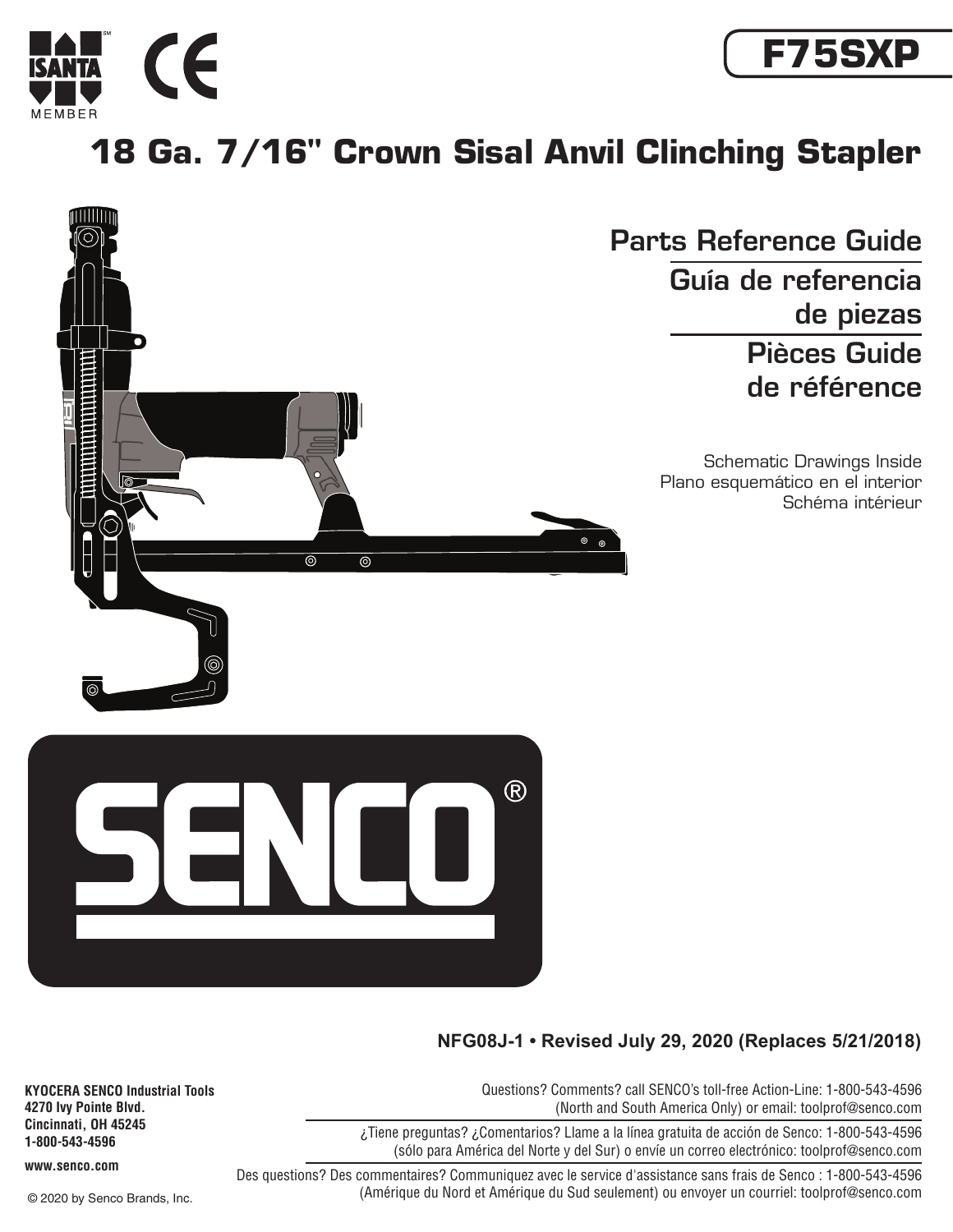



## **18 Ga. 7/16" Crown Sisal Anvil Clinching Stapler**



## **NFG08J-1 • Revised July 29, 2020 (Replaces 5/21/2018)**

Questions? Comments? call SENCO's toll-free Action-Line: 1-800-543-4596 (North and South America Only) or email: toolprof@senco.com

¿Tiene preguntas? ¿Comentarios? Llame a la línea gratuita de acción de Senco: 1-800-543-4596 (sólo para América del Norte y del Sur) o envíe un correo electrónico: toolprof@senco.com

Des questions? Des commentaires? Communiquez avec le service d'assistance sans frais de Senco : 1-800-543-4596 (Amérique du Nord et Amérique du Sud seulement) ou envoyer un courriel: toolprof@senco.com

**KYOCERA SENCO Industrial Tools 4270 Ivy Pointe Blvd. Cincinnati, OH 45245 1-800-543-4596**

**www.senco.com**

© 2020 by Senco Brands, Inc.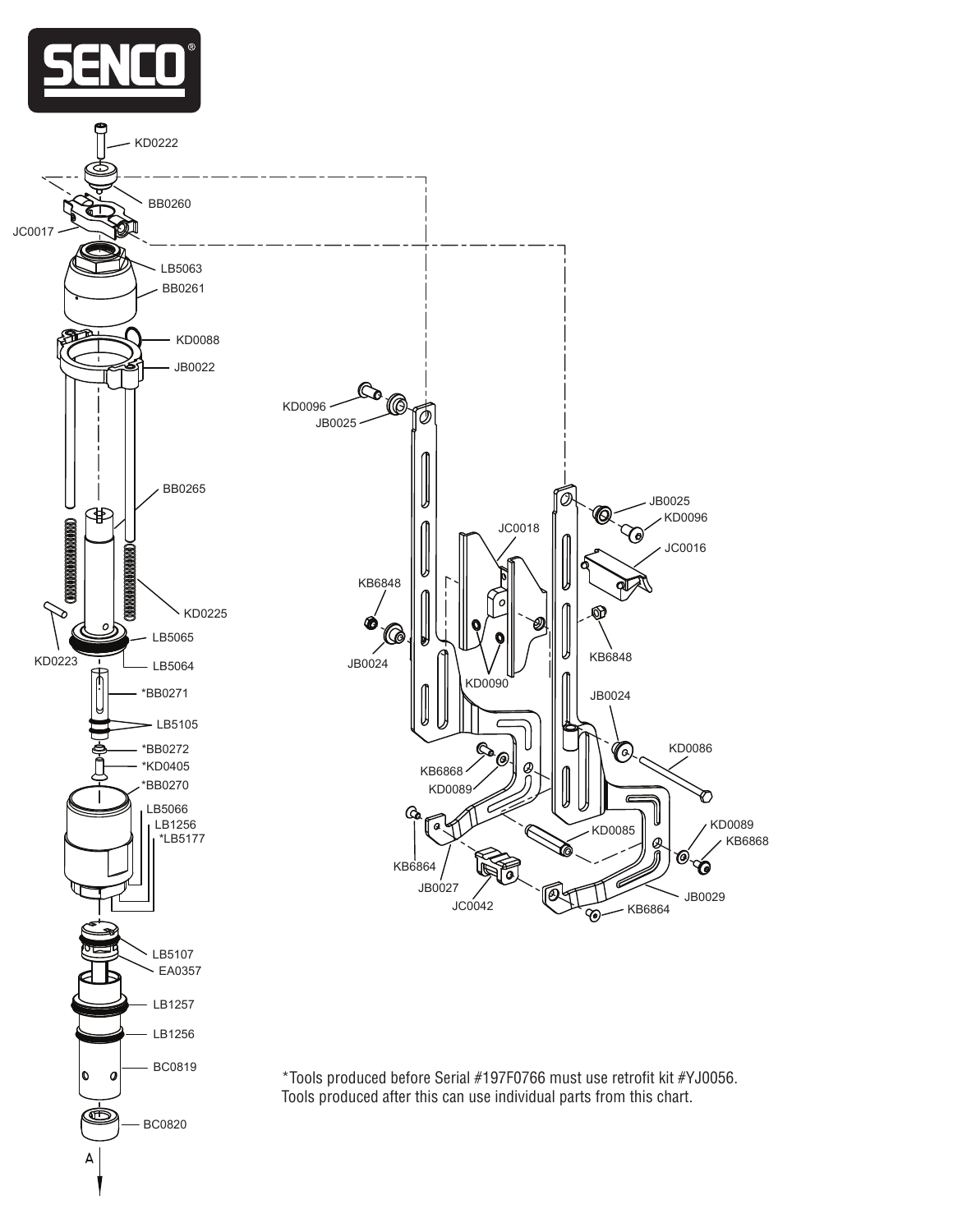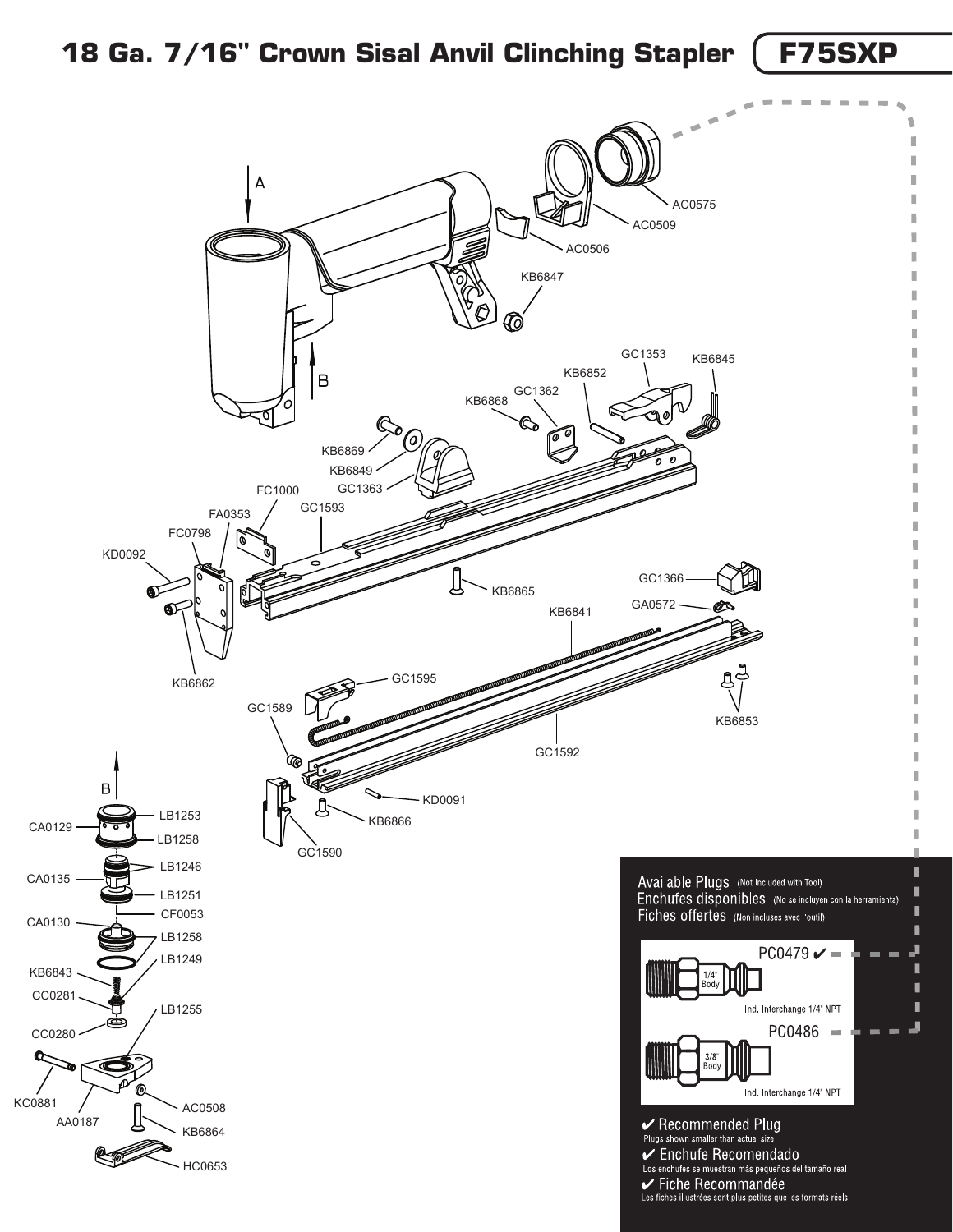## **18 Ga. 7/16" Crown Sisal Anvil Clinching Stapler F75SXP**